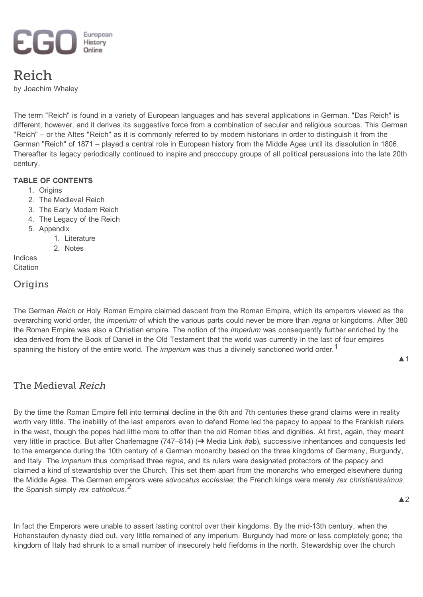

# Reich

by [Joachim](http://ieg-ego.eu/author/whaleyj) Whaley

The term "Reich" is found in a variety of European languages and has several applications in German. "Das Reich" is different, however, and it derives its suggestive force from a combination of secular and religious sources. This German "Reich" – or the Altes "Reich" as it is commonly referred to by modern historians in order to distinguish it from the German "Reich" of 1871 – played a central role in European history from the Middle Ages until its dissolution in 1806. Thereafter its legacy periodically continued to inspire and preoccupy groups of all political persuasions into the late 20th century.

### TABLE OF CONTENTS

- 1. [Origins](#page-0-1)
- 2. The [Medieval](#page-0-0) Reich
- 3. The Early [Modern](#page-1-0) Reich
- 4. The [Legacy](#page-3-0) of the Reich
- 5. [Appendix](#page-4-1)
	- 1. [Literature](#page-4-0)
	- 2. [Notes](#page-6-0)

[Indices](#page-7-0) **[Citation](#page-8-0)** 

# <span id="page-0-1"></span>**Origins**

The German *Reich* or Holy Roman Empire claimed descent from the Roman Empire, which its emperors viewed as the overarching world order, the *imperium* of which the various parts could never be more than *regna* or kingdoms. After 380 the Roman Empire was also a Christian empire. The notion of the *imperium* was consequently further enriched by the idea derived from the Book of Daniel in the Old Testament that the world was currently in the last of four empires spanning the history of the entire world. The *imperium* was thus a divinely sanctioned world order.<sup>[1](#page-6-2)</sup>

# <span id="page-0-0"></span>The Medieval Reich

<span id="page-0-4"></span>By the time the Roman Empire fell into terminal decline in the 6th and 7th centuries these grand claims were in reality worth very little. The inability of the last emperors even to defend Rome led the papacy to appeal to the Frankish rulers in the west, though the popes had little more to offer than the old Roman titles and dignities. At first, again, they meant very little in practice. But after Charlemagne (747–814[\)](#page-8-1) (➔ Media Link #ab), successive inheritances and conquests led to the emergence during the 10th century of a German monarchy based on the three kingdoms of Germany, Burgundy, and Italy. The *imperium* thus comprised three *regna*, and its rulers were designated protectors of the papacy and claimed a kind of stewardship over the Church. This set them apart from the monarchs who emerged elsewhere during the Middle Ages. The German emperors were *advocatus ecclesiae*; the French kings were merely *rex christianissimus*, the Spanish simply *rex catholicus*. [2](#page-6-1)

<span id="page-0-2"></span>▲1

<span id="page-0-3"></span>In fact the Emperors were unable to assert lasting control over their kingdoms. By the mid-13th century, when the Hohenstaufen dynasty died out, very little remained of any imperium. Burgundy had more or less completely gone; the kingdom of Italy had shrunk to a small number of insecurely held fiefdoms in the north. Stewardship over the church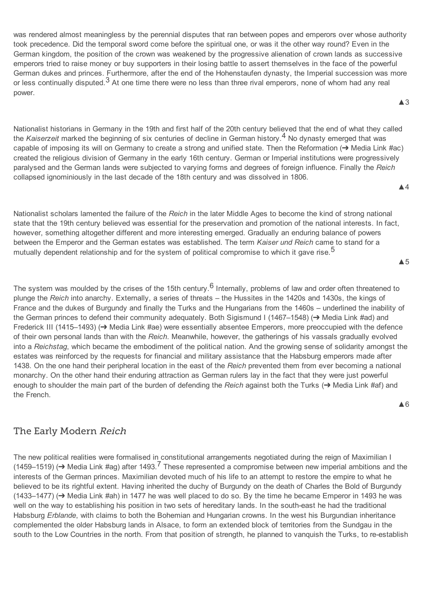was rendered almost meaningless by the perennial disputes that ran between popes and emperors over whose authority took precedence. Did the temporal sword come before the spiritual one, or was it the other way round? Even in the German kingdom, the position of the crown was weakened by the progressive alienation of crown lands as successive emperors tried to raise money or buy supporters in their losing battle to assert themselves in the face of the powerful German dukes and princes. Furthermore, after the end of the Hohenstaufen dynasty, the Imperial succession was more or less continually disputed.<sup>[3](#page-6-3)</sup> At one time there were no less than three rival emperors, none of whom had any real power.

<span id="page-1-3"></span>Nationalist historians in Germany in the 19th and first half of the 20th century believed that the end of what they called the *Kaiserzeit* marked the beginning of six centuries of decline in German history. [4](#page-6-4) No dynasty emerged that was capable of imposing its will on Germany to create a strong and unified state. Then the Reformatio[n](#page-8-3) (➔ Media Link #ac) created the religious division of Germany in the early 16th century. German or Imperial institutions were progressively paralysed and the German lands were subjected to varying forms and degrees of foreign influence. Finally the *Reich* collapsed ignominiously in the last decade of the 18th century and was dissolved in 1806.

Nationalist scholars lamented the failure of the *Reich* in the later Middle Ages to become the kind of strong national state that the 19th century believed was essential for the preservation and promotion of the national interests. In fact, however, something altogether different and more interesting emerged. Gradually an enduring balance of powers between the Emperor and the German estates was established. The term *Kaiser und Reich* came to stand for a mutually dependent relationship and for the system of political compromise to which it gave rise.<sup>[5](#page-6-7)</sup>

<span id="page-1-9"></span>The system was moulded by the crises of the 15th century.<sup>[6](#page-6-5)</sup> Internally, problems of law and order often threatened to plunge the *Reich* into anarchy. Externally, a series of threats – the Hussites in the 1420s and 1430s, the kings of France and the dukes of Burgundy and finally the Turks and the Hungarians from the 1460s – underlined the inability of the German princes to defend their community adequately. Both Sigismund I (1467–1548[\)](#page-8-7) (➔ Media Link #ad) and Frederick III (1415–1493[\)](#page-8-6) (➔ Media Link #ae) were essentially absentee Emperors, more preoccupied with the defence of their own personal lands than with the *Reich*. Meanwhile, however, the gatherings of his vassals gradually evolved into a *Reichstag*, which became the embodiment of the political nation. And the growing sense of solidarity amongst the estates was reinforced by the requests for financial and military assistance that the Habsburg emperors made after 1438. On the one hand their peripheral location in the east of the *Reich* prevented them from ever becoming a national monarchy. On the other hand their enduring attraction as German rulers lay in the fact that they were just powerful enough to shoulder the main part of the burden of defending the *Reich* against both the Turks [\(](#page-8-2)➔ Media Link #af) and the French.

# <span id="page-1-0"></span>The Early Modern Reich

<span id="page-1-11"></span><span id="page-1-10"></span><span id="page-1-2"></span>The new political realities were formalised in constitutional arrangements negotiated during the reign of Maximilian I (1459–1519[\)](#page-8-4) (→ Media Link #ag) after 1493.<sup>[7](#page-6-6)</sup> These represented a compromise between new imperial ambitions and the interests of the German princes. Maximilian devoted much of his life to an attempt to restore the empire to what he believed to be its rightful extent. Having inherited the duchy of Burgundy on the death of Charles the Bold of Burgundy (1433–1477[\)](#page-8-5) (➔ Media Link #ah) in 1477 he was well placed to do so. By the time he became Emperor in 1493 he was well on the way to establishing his position in two sets of hereditary lands. In the southeast he had the traditional Habsburg *Erblande*, with claims to both the Bohemian and Hungarian crowns. In the west his Burgundian inheritance complemented the older Habsburg lands in Alsace, to form an extended block of territories from the Sundgau in the south to the Low Countries in the north. From that position of strength, he planned to vanquish the Turks, to re-establish

<span id="page-1-8"></span>▲4

<span id="page-1-4"></span>▲3

<span id="page-1-6"></span><span id="page-1-5"></span><span id="page-1-1"></span>▲5

<span id="page-1-7"></span>▲6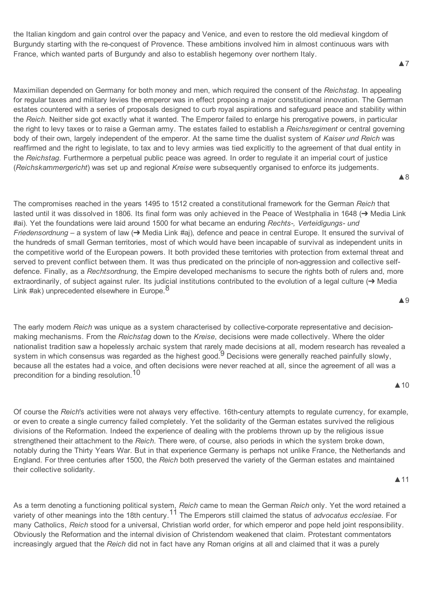the Italian kingdom and gain control over the papacy and Venice, and even to restore the old medieval kingdom of Burgundy starting with the reconquest of Provence. These ambitions involved him in almost continuous wars with France, which wanted parts of Burgundy and also to establish hegemony over northern Italy.

Maximilian depended on Germany for both money and men, which required the consent of the *Reichstag*. In appealing for regular taxes and military levies the emperor was in effect proposing a major constitutional innovation. The German estates countered with a series of proposals designed to curb royal aspirations and safeguard peace and stability within the *Reich*. Neither side got exactly what it wanted. The Emperor failed to enlarge his prerogative powers, in particular the right to levy taxes or to raise a German army. The estates failed to establish a *Reichsregiment* or central governing body of their own, largely independent of the emperor. At the same time the dualist system of *Kaiser und Reich* was reaffirmed and the right to legislate, to tax and to levy armies was tied explicitly to the agreement of that dual entity in the *Reichstag*. Furthermore a perpetual public peace was agreed. In order to regulate it an imperial court of justice (*Reichskammergericht*) was set up and regional *Kreise* were subsequently organised to enforce its judgements.

<span id="page-2-4"></span>The compromises reached in the years 1495 to 1512 created a constitutional framework for the German *Reich* that lasted until it was dissolved in 1806. Its final form was only achieved in the Peace of Westphalia in 164[8](#page-8-8) (➔ Media Link #ai). Yet the foundations were laid around 1500 for what became an enduring *Rechts, Verteidigungs und Friedensordnung* – a system of la[w](#page-8-9) (→ Media Link #aj), defence and peace in central Europe. It ensured the survival of the hundreds of small German territories, most of which would have been incapable of survival as independent units in the competitive world of the European powers. It both provided these territories with protection from external threat and served to prevent conflict between them. It was thus predicated on the principle of non-aggression and collective selfdefence. Finally, as a *Rechtsordnung*, the Empire developed mechanisms to secure the rights both of rulers and, more [e](#page-9-0)xtraordinarily, of subject against ruler. Its judicial institutions contributed to the evolution of a legal culture (→ Media Link #ak) unprecedented elsewhere in Europe.<sup>[8](#page-6-10)</sup>

<span id="page-2-1"></span>The early modern *Reich* was unique as a system characterised by collective-corporate representative and decisionmaking mechanisms. From the *Reichstag* down to the *Kreise*, decisions were made collectively. Where the older nationalist tradition saw a hopelessly archaic system that rarely made decisions at all, modern research has revealed a system in which consensus was regarded as the highest good.<sup>[9](#page-6-9)</sup> Decisions were generally reached painfully slowly, because all the estates had a voice, and often decisions were never reached at all, since the agreement of all was a precondition for a binding resolution. [10](#page-6-8)

<span id="page-2-3"></span>▲10

<span id="page-2-6"></span>▲9

<span id="page-2-2"></span>Of course the *Reich*'s activities were not always very effective. 16th-century attempts to regulate currency, for example, or even to create a single currency failed completely. Yet the solidarity of the German estates survived the religious divisions of the Reformation. Indeed the experience of dealing with the problems thrown up by the religious issue strengthened their attachment to the *Reich*. There were, of course, also periods in which the system broke down, notably during the Thirty Years War. But in that experience Germany is perhaps not unlike France, the Netherlands and England. For three centuries after 1500, the *Reich* both preserved the variety of the German estates and maintained their collective solidarity.

▲11

<span id="page-2-0"></span>As a term denoting a functioning political system, *Reich* came to mean the German *Reich* only. Yet the word retained a variety of other meanings into the 18th century. [11](#page-6-11) The Emperors still claimed the status of *advocatus ecclesiae*. For many Catholics, *Reich* stood for a universal, Christian world order, for which emperor and pope held joint responsibility. Obviously the Reformation and the internal division of Christendom weakened that claim. Protestant commentators increasingly argued that the *Reich* did not in fact have any Roman origins at all and claimed that it was a purely

#### ▲7

<span id="page-2-5"></span>▲8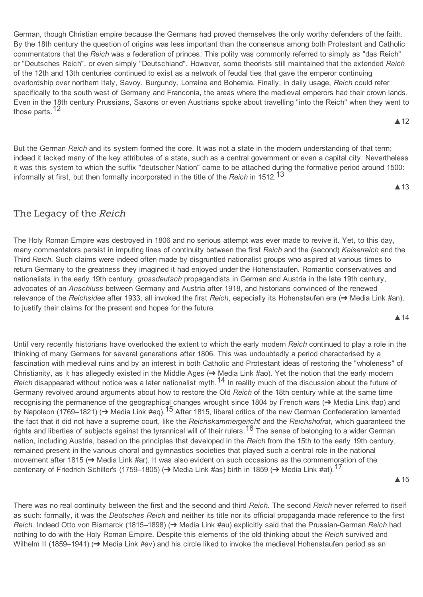German, though Christian empire because the Germans had proved themselves the only worthy defenders of the faith. By the 18th century the question of origins was less important than the consensus among both Protestant and Catholic commentators that the *Reich* was a federation of princes. This polity was commonly referred to simply as "das Reich" or "Deutsches Reich", or even simply "Deutschland". However, some theorists still maintained that the extended *Reich* of the 12th and 13th centuries continued to exist as a network of feudal ties that gave the emperor continuing overlordship over northern Italy, Savoy, Burgundy, Lorraine and Bohemia. Finally, in daily usage, *Reich* could refer specifically to the south west of Germany and Franconia, the areas where the medieval emperors had their crown lands. Even in the 18th century Prussians, Saxons or even Austrians spoke about travelling "into the Reich" when they went to those parts.<sup>[12](#page-6-13)</sup>

<span id="page-3-4"></span>But the German *Reich* and its system formed the core. It was not a state in the modern understanding of that term; indeed it lacked many of the key attributes of a state, such as a central government or even a capital city. Nevertheless it was this system to which the suffix "deutscher Nation" came to be attached during the formative period around 1500: informally at first, but then formally incorporated in the title of the *Reich* in 1512. [13](#page-6-17)

<span id="page-3-6"></span>▲13

▲12

# <span id="page-3-0"></span>The Legacy of the Reich

The Holy Roman Empire was destroyed in 1806 and no serious attempt was ever made to revive it. Yet, to this day, many commentators persist in imputing lines of continuity between the first *Reich* and the (second) *Kaiserreich* and the Third *Reich*. Such claims were indeed often made by disgruntled nationalist groups who aspired at various times to return Germany to the greatness they imagined it had enjoyed under the Hohenstaufen. Romantic conservatives and nationalists in the early 19th century, *grossdeutsch* propagandists in German and Austria in the late 19th century, advocates of an *Anschluss* between Germany and Austria after 1918, and historians convinced of the renewed relevance of the *Reichsidee* after 1933, all invoked the first *Reich*, especially its Hohenstaufen era [\(](#page-9-5)➔ Media Link #an), to justify their claims for the present and hopes for the future.

<span id="page-3-7"></span><span id="page-3-3"></span>▲14

<span id="page-3-12"></span><span id="page-3-8"></span><span id="page-3-1"></span>Until very recently historians have overlooked the extent to which the early modern *Reich* continued to play a role in the thinking of many Germans for several generations after 1806. This was undoubtedly a period characterised by a fascination with medieval ruins and by an interest in both Catholic and Protestant ideas of restoring the "wholeness" of Christianity, as it has allegedly existed in the Middle Ages (➔ Media Link #ao). Yet the notion that the early modern Reich disappeared without notice was a later nationalist myth.<sup>[14](#page-6-15)</sup> In reality much of the discussion about the future of Germany revolved around arguments about how to restore the Old *Reich* of the 18th century while at the same time recognising the permanence of the geographical changes wrought since 1804 by French wars [\(](#page-9-2)→ Media Link #ap) and by Napoleon [\(](#page-9-3)1769–1821) (→ Media Link #aq).<sup>[15](#page-6-14)</sup> After 1815, liberal critics of the new German Confederation lamented the fact that it did not have a supreme court, like the *Reichskammergericht* and the *Reichshofrat*, which guaranteed the rights and liberties of subjects against the tyrannical will of their rulers.<sup>[16](#page-6-12)</sup> The sense of belonging to a wider German nation, including Austria, based on the principles that developed in the *Reich* from the 15th to the early 19th century, remained present in the various choral and gymnastics societies that played such a central role in the national movement after 181[5](#page-9-4) (➔ Media Link #ar). It was also evident on such occasions as the commemoration of the centenary of Friedrich Schiller's [\(](#page-10-1)[17](#page-6-16)59–1805) (→ Media Link #as) birth in 1859 (→ Media Link #at). <sup>17</sup>

<span id="page-3-14"></span><span id="page-3-10"></span><span id="page-3-5"></span><span id="page-3-2"></span>▲15

<span id="page-3-15"></span><span id="page-3-13"></span><span id="page-3-11"></span><span id="page-3-9"></span>There was no real continuity between the first and the second and third *Reich*. The second *Reich* never referred to itself as such: formally, it was the *Deutsches Reich* and neither its title nor its official propaganda made reference to the first *Reich*. Indeed Otto von Bismarck (1815–1898[\)](#page-10-2) (➔ Media Link #au) explicitly said that the PrussianGerman *Reich* had nothing to do with the Holy Roman Empire. Despite this elements of the old thinking about the *Reich* survived and Wilhelm II (1859–1941[\)](#page-10-0) (→ Media Link #av) and his circle liked to invoke the medieval Hohenstaufen period as an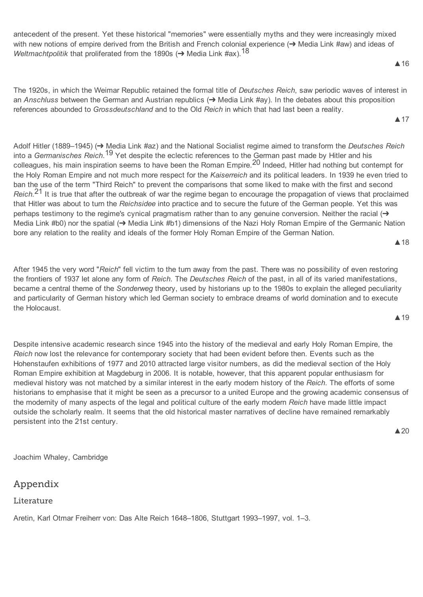<span id="page-4-7"></span>antecedent of the present. Yet these historical "memories" were essentially myths and they were increasingly mixed with new notions of empire derived from the British and French colonial experience [\(](#page-10-4)→ Media Link #aw) and ideas of *Weltmachtpolitik* that proliferated from the [18](#page-6-19)90s (→ Media Link #ax). <sup>18</sup>

The 1920s, in which the Weimar Republic retained the formal title of *Deutsches Reich*, saw periodic waves of interest in an *Anschluss* between the German and Austrian republics (➔ Media Link #ay). In the debates about this proposition references abounded to *Grossdeutschland* and to the Old *Reich* in which that had last been a reality.

<span id="page-4-8"></span><span id="page-4-5"></span><span id="page-4-4"></span>Adolf Hitler (1889–1945[\)](#page-10-5) (➔ Media Link #az) and the National Socialist regime aimed to transform the *Deutsches Reich* into a *Germanisches Reich*. [19](#page-6-18) Yet despite the eclectic references to the German past made by Hitler and his colleagues, his main inspiration seems to have been the Roman Empire. [20](#page-6-21) Indeed, Hitler had nothing but contempt for the Holy Roman Empire and not much more respect for the *Kaiserreich* and its political leaders. In 1939 he even tried to ban the use of the term "Third Reich" to prevent the comparisons that some liked to make with the first and second *Reich*. [21](#page-6-20) It is true that after the outbreak of war the regime began to encourage the propagation of views that proclaimed that Hitler was about to turn the *Reichsidee* into practice and to secure the future of the German people. Yet this was perhaps testimony to the regime's cynical pragmatism rather than to any genuine conversion. Neither the racial (→ Media Link #b0) nor the spatia[l](#page-10-3) (→ Media Link #b1) dimensions of the Nazi Holy Roman Empire of the Germanic Nation bore any relation to the reality and ideals of the former Holy Roman Empire of the German Nation.

<span id="page-4-11"></span>After 1945 the very word "*Reich*" fell victim to the turn away from the past. There was no possibility of even restoring the frontiers of 1937 let alone any form of *Reich*. The *Deutsches Reich* of the past, in all of its varied manifestations, became a central theme of the *Sonderweg* theory, used by historians up to the 1980s to explain the alleged peculiarity and particularity of German history which led German society to embrace dreams of world domination and to execute the Holocaust. ▲19

Despite intensive academic research since 1945 into the history of the medieval and early Holy Roman Empire, the *Reich* now lost the relevance for contemporary society that had been evident before then. Events such as the Hohenstaufen exhibitions of 1977 and 2010 attracted large visitor numbers, as did the medieval section of the Holy Roman Empire exhibition at Magdeburg in 2006. It is notable, however, that this apparent popular enthusiasm for medieval history was not matched by a similar interest in the early modern history of the *Reich*. The efforts of some historians to emphasise that it might be seen as a precursor to a united Europe and the growing academic consensus of the modernity of many aspects of the legal and political culture of the early modern *Reich* have made little impact outside the scholarly realm. It seems that the old historical master narratives of decline have remained remarkably persistent into the 21st century.

Joachim Whaley, Cambridge

# <span id="page-4-1"></span>Appendix

<span id="page-4-0"></span>Literature

Aretin, Karl Otmar Freiherr von: Das Alte Reich 1648–1806, Stuttgart 1993–1997, vol. 1–3.

<span id="page-4-10"></span>▲18

# ▲20

### <span id="page-4-6"></span><span id="page-4-3"></span>▲16

<span id="page-4-9"></span><span id="page-4-2"></span>▲17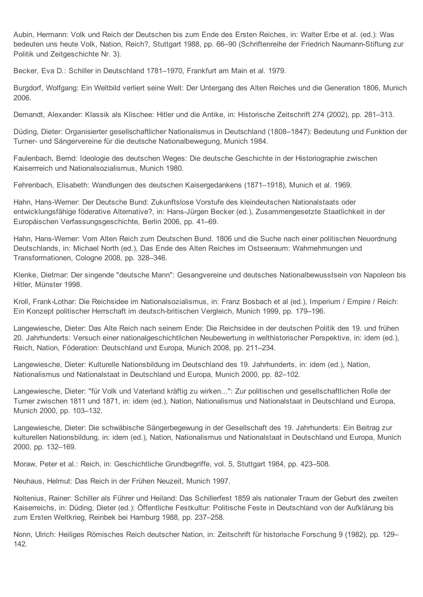Aubin, Hermann: Volk und Reich der Deutschen bis zum Ende des Ersten Reiches, in: Walter Erbe et al. (ed.): Was bedeuten uns heute Volk, Nation, Reich?, Stuttgart 1988, pp. 66–90 (Schriftenreihe der Friedrich Naumann-Stiftung zur Politik und Zeitgeschichte Nr. 3).

Becker, Eva D.: Schiller in Deutschland 1781–1970, Frankfurt am Main et al. 1979.

Burgdorf, Wolfgang: Ein Weltbild verliert seine Welt: Der Untergang des Alten Reiches und die Generation 1806, Munich 2006.

Demandt, Alexander: Klassik als Klischee: Hitler und die Antike, in: Historische Zeitschrift 274 (2002), pp. 281–313.

Düding, Dieter: Organisierter gesellschaftlicher Nationalismus in Deutschland (1808–1847): Bedeutung und Funktion der Turner- und Sängervereine für die deutsche Nationalbewegung, Munich 1984.

Faulenbach, Bernd: Ideologie des deutschen Weges: Die deutsche Geschichte in der Historiographie zwischen Kaiserrreich und Nationalsozialismus, Munich 1980.

Fehrenbach, Elisabeth: Wandlungen des deutschen Kaisergedankens (1871–1918), Munich et al. 1969.

Hahn, Hans-Werner: Der Deutsche Bund: Zukunftslose Vorstufe des kleindeutschen Nationalstaats oder entwicklungsfähige föderative Alternative?, in: Hans-Jürgen Becker (ed.), Zusammengesetzte Staatlichkeit in der Europäischen Verfassungsgeschichte, Berlin 2006, pp. 41–69.

Hahn, Hans-Werner: Vom Alten Reich zum Deutschen Bund. 1806 und die Suche nach einer politischen Neuordnung Deutschlands, in: Michael North (ed.), Das Ende des Alten Reiches im Ostseeraum: Wahrnehmungen und Transformationen, Cologne 2008, pp. 328–346.

Klenke, Dietmar: Der singende "deutsche Mann": Gesangvereine und deutsches Nationalbewusstsein von Napoleon bis Hitler, Münster 1998.

Kroll, Frank-Lothar: Die Reichsidee im Nationalsozialismus, in: Franz Bosbach et al (ed.), Imperium / Empire / Reich: Ein Konzept politischer Herrschaft im deutsch-britischen Vergleich, Munich 1999, pp. 179–196.

Langewiesche, Dieter: Das Alte Reich nach seinem Ende: Die Reichsidee in der deutschen Politik des 19. und frühen 20. Jahrhunderts: Versuch einer nationalgeschichtlichen Neubewertung in welthistorischer Perspektive, in: idem (ed.), Reich, Nation, Föderation: Deutschland und Europa, Munich 2008, pp. 211–234.

Langewiesche, Dieter: Kulturelle Nationsbildung im Deutschland des 19. Jahrhunderts, in: idem (ed.), Nation, Nationalismus und Nationalstaat in Deutschland und Europa, Munich 2000, pp. 82–102.

Langewiesche, Dieter: "für Volk und Vaterland kräftig zu wirken...": Zur politischen und gesellschaftlichen Rolle der Turner zwischen 1811 und 1871, in: idem (ed.), Nation, Nationalismus und Nationalstaat in Deutschland und Europa, Munich 2000, pp. 103–132.

Langewiesche, Dieter: Die schwäbische Sängerbegewung in der Gesellschaft des 19. Jahrhunderts: Ein Beitrag zur kulturellen Nationsbildung, in: idem (ed.), Nation, Nationalismus und Nationalstaat in Deutschland und Europa, Munich 2000, pp. 132–169.

Moraw, Peter et al.: Reich, in: Geschichtliche Grundbegriffe, vol. 5, Stuttgart 1984, pp. 423–508.

Neuhaus, Helmut: Das Reich in der Frühen Neuzeit, Munich 1997.

Noltenius, Rainer: Schiller als Führer und Heiland: Das Schillerfest 1859 als nationaler Traum der Geburt des zweiten Kaiserreichs, in: Düding, Dieter (ed.): Öffentliche Festkultur: Politische Feste in Deutschland von der Aufklärung bis zum Ersten Weltkrieg, Reinbek bei Hamburg 1988, pp. 237–258.

Nonn, Ulrich: Heiliges Römisches Reich deutscher Nation, in: Zeitschrift für historische Forschung 9 (1982), pp. 129– 142.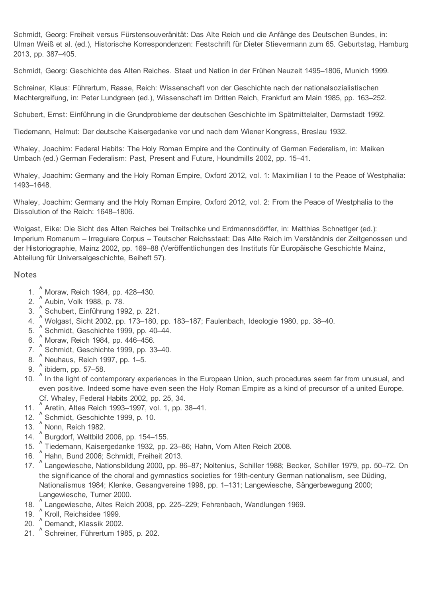Schmidt, Georg: Freiheit versus Fürstensouveränität: Das Alte Reich und die Anfänge des Deutschen Bundes, in: Ulman Weiß et al. (ed.), Historische Korrespondenzen: Festschrift für Dieter Stievermann zum 65. Geburtstag, Hamburg 2013, pp. 387–405.

Schmidt, Georg: Geschichte des Alten Reiches. Staat und Nation in der Frühen Neuzeit 1495–1806, Munich 1999.

Schreiner, Klaus: Führertum, Rasse, Reich: Wissenschaft von der Geschichte nach der nationalsozialistischen Machtergreifung, in: Peter Lundgreen (ed.), Wissenschaft im Dritten Reich, Frankfurt am Main 1985, pp. 163–252.

Schubert, Ernst: Einführung in die Grundprobleme der deutschen Geschichte im Spätmittelalter, Darmstadt 1992.

Tiedemann, Helmut: Der deutsche Kaisergedanke vor und nach dem Wiener Kongress, Breslau 1932.

Whaley, Joachim: Federal Habits: The Holy Roman Empire and the Continuity of German Federalism, in: Maiken Umbach (ed.) German Federalism: Past, Present and Future, Houndmills 2002, pp. 15–41.

Whaley, Joachim: Germany and the Holy Roman Empire, Oxford 2012, vol. 1: Maximilian I to the Peace of Westphalia: 1493–1648.

Whaley, Joachim: Germany and the Holy Roman Empire, Oxford 2012, vol. 2: From the Peace of Westphalia to the Dissolution of the Reich: 1648–1806.

Wolgast, Eike: Die Sicht des Alten Reiches bei Treitschke und Erdmannsdörffer, in: Matthias Schnettger (ed.): Imperium Romanum – Irregulare Corpus – Teutscher Reichsstaat: Das Alte Reich im Verständnis der Zeitgenossen und der Historiographie, Mainz 2002, pp. 169–88 (Veröffentlichungen des Instituts für Europäische Geschichte Mainz, Abteilung für Universalgeschichte, Beiheft 57).

#### <span id="page-6-0"></span>**Notes**

- <span id="page-6-2"></span>1. [^](#page-0-2) Moraw, Reich 1984, pp. 428–430.
- <span id="page-6-1"></span>2. [^](#page-0-3) Aubin, Volk 1988, p. 78.
- <span id="page-6-3"></span>3. [^](#page-1-3) Schubert, Einführung 1992, p. 221.
- <span id="page-6-4"></span>4. [^](#page-1-4) Wolgast, Sicht 2002, pp. 173–180, pp. 183–187; Faulenbach, Ideologie 1980, pp. 38–40.
- <span id="page-6-7"></span>5. [^](#page-1-5) Schmidt, Geschichte 1999, pp. 40–44.
- <span id="page-6-5"></span>6. [^](#page-1-1) Moraw, Reich 1984, pp. 446–456.
- <span id="page-6-6"></span>7. [^](#page-1-2) Schmidt, Geschichte 1999, pp. 33–40.
- <span id="page-6-10"></span>8. [^](#page-2-1) Neuhaus, Reich 1997, pp. 1–5.
- <span id="page-6-9"></span>9. ibidem, pp. 57–58.  $\wedge$
- <span id="page-6-8"></span>10. <sup>[^](#page-2-2)</sup> In the light of contemporary experiences in the European Union, such procedures seem far from unusual, and even positive. Indeed some have even seen the Holy Roman Empire as a kind of precursor of a united Europe. Cf. Whaley, Federal Habits 2002, pp. 25, 34.
- <span id="page-6-11"></span>11. [^](#page-2-0) Aretin, Altes Reich 1993–1997, vol. 1, pp. 38–41.
- <span id="page-6-13"></span>12. [^](#page-3-4) Schmidt, Geschichte 1999, p. 10.
- <span id="page-6-17"></span>13. [^](#page-3-6) Nonn, Reich 1982.
- <span id="page-6-15"></span>14. [^](#page-3-3) Burgdorf, Weltbild 2006, pp. 154–155.
- <span id="page-6-14"></span>15. [^](#page-3-1) Tiedemann, Kaisergedanke 1932, pp. 23–86; Hahn, Vom Alten Reich 2008.
- <span id="page-6-12"></span>16. [^](#page-3-5) Hahn, Bund 2006; Schmidt, Freiheit 2013.
- <span id="page-6-16"></span>17. [^](#page-3-2) Langewiesche, Nationsbildung 2000, pp. 86–87; Noltenius, Schiller 1988; Becker, Schiller 1979, pp. 50–72. On the significance of the choral and gymnastics societies for 19th-century German nationalism, see Düding, Nationalismus 1984; Klenke, Gesangvereine 1998, pp. 1–131; Langewiesche, Sängerbewegung 2000; Langewiesche, Turner 2000.
- <span id="page-6-19"></span>18. [^](#page-4-3) Langewiesche, Altes Reich 2008, pp. 225–229; Fehrenbach, Wandlungen 1969.
- <span id="page-6-18"></span>19. [^](#page-4-5) Kroll, Reichsidee 1999.
- <span id="page-6-21"></span>20. [^](#page-4-2) Demandt, Klassik 2002.
- <span id="page-6-20"></span>21. [^](#page-4-4) Schreiner, Führertum 1985, p. 202.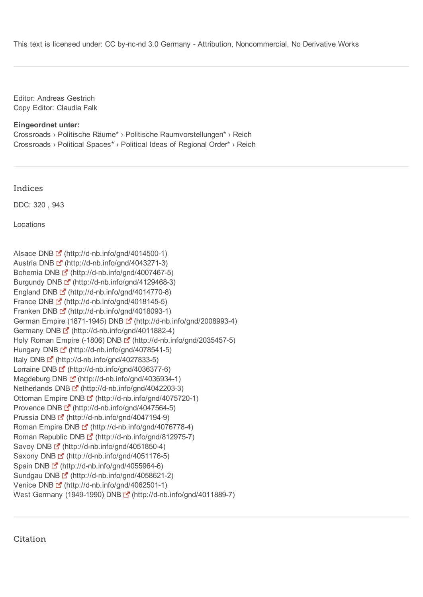This text is licensed under: CC by-nc-nd 3.0 Germany - Attribution, Noncommercial, No Derivative Works

Editor: Andreas Gestrich Copy Editor: Claudia Falk

Eingeordnet unter: [Crossroads](http://ieg-ego.eu/de/threads/crossroads) › [Politische](http://ieg-ego.eu/de/threads/crossroads/politische-raeume) Räume\* › Politische [Raumvorstellungen\\*](http://ieg-ego.eu/de/threads/crossroads/politische-raeume/politische-raumvorstellungen) › Reich [Crossroads](http://ieg-ego.eu/en/threads/crossroads) › Political [Spaces\\*](http://ieg-ego.eu/en/threads/crossroads/political-spaces) › Political Ideas of [Regional](http://ieg-ego.eu/en/threads/crossroads/political-spaces/political-ideas-of-regional-order) Order\* › Reich

<span id="page-7-0"></span>Indices

DDC: [320](http://ieg-ego.eu/search?DDC=320&portal_type=Document&Title=freigabe) , [943](http://ieg-ego.eu/search?DDC=943&portal_type=Document&Title=freigabe)

Locations

```
Alsace DNB [4] (http://d-nb.info/gnd/4014500-1)
Austria DNB [2] (http://d-nb.info/gnd/4043271-3)
Bohemia DNB \mathbb{F} (http://d-nb.info/gnd/4007467-5)
Burgundy DNB \mathbb{E} (http://d-nb.info/gnd/4129468-3)
England DNB \mathbb{E}^{\bullet} (http://d-nb.info/gnd/4014770-8)
France DNB \square<sup>2</sup> (http://d-nb.info/gnd/4018145-5)
Franken DNB \mathbb{E} (http://d-nb.info/gnd/4018093-1)
German Empire (1871-1945) DNB [ (http://d-nb.info/gnd/2008993-4)
Germany DNB E (http://d-nb.info/gnd/4011882-4)
Holy Roman Empire (-1806) DNB [* (http://d-nb.info/gnd/2035457-5)
Hungary DNB \mathbb{E} (http://d-nb.info/gnd/4078541-5)
Italy DNB \mathbb{E} (http://d-nb.info/gnd/4027833-5)
Lorraine DNB [fttp://d-nb.info/gnd/4036377-6)
Magdeburg DNB [4] (http://d-nb.info/gnd/4036934-1)
Netherlands DNB (http://d-nb.info/gnd/4042203-3)
Ottoman Empire DNB [Statist] (http://d-nb.info/gnd/4075720-1)
Provence DNB F (http://d-nb.info/gnd/4047564-5)
Prussia DNB (http://d-nb.info/gnd/4047194-9)
Roman Empire DNB [4] (http://d-nb.info/gnd/4076778-4)
Roman Republic DNB [4] (http://d-nb.info/gnd/812975-7)
Savoy DNB \mathbb{L}<sup>-</sup> (http://d-nb.info/gnd/4051850-4)
Saxony DNB \mathbb{L}^{\bullet} (http://d-nb.info/gnd/4051176-5)
Spain DNB [fttp://d-nb.info/gnd/4055964-6)
Sundgau DNB [ (http://d-nb.info/gnd/4058621-2)
Venice DNB \mathbb{L}^{\bullet} (http://d-nb.info/gnd/4062501-1)
West Germany (1949-1990) DNB [ (http://d-nb.info/gnd/4011889-7)
```
Citation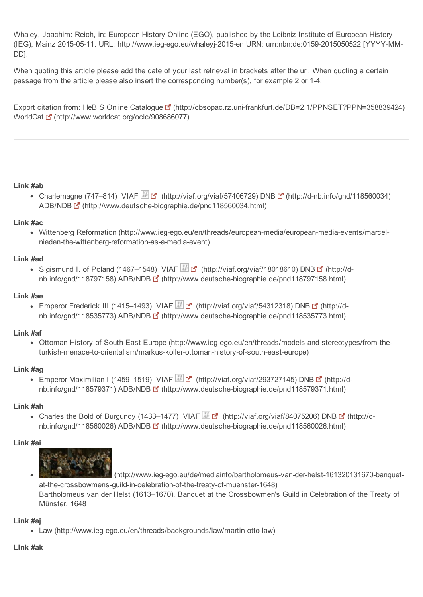<span id="page-8-0"></span>Whaley, Joachim: Reich, in: European History Online (EGO), published by the Leibniz Institute of European History (IEG), Mainz 2015-05-11. URL: http://www.ieg-ego.eu/whaleyj-2015-en URN: urn:nbn:de:0159-2015050522 [YYYY-MM-DD].

When quoting this article please add the date of your last retrieval in brackets after the url. When quoting a certain passage from the article please also insert the corresponding number(s), for example 2 or 14.

Export citation from: HeBIS Online Catalogue L<sup>T</sup> (http://cbsopac.rz.uni-frankfurt.de/DB=2.1/PPNSET?PPN=358839424) WorldCat  $\mathbb{Z}$  [\(http://www.worldcat.org/oclc/908686077\)](http://www.worldcat.org/oclc/908686077)

#### [Link](#page-0-4) #ab

<span id="page-8-1"></span>Charlemagne (747–814) VIAF  $\mathbb{Z}$  [\(http://viaf.org/viaf/57406729\)](http://viaf.org/viaf/57406729) DNB  $\mathbb{Z}$  (http://d-nb.info/gnd/118560034) ADB/NDB [ (http://www.deutsche-biographie.de/pnd118560034.html)

#### [Link](#page-1-8) #ac

<span id="page-8-3"></span>• Wittenberg Reformation (http://www.ieg-ego.eu/en/threads/european-media/european-media-events/marcelnieden-the-wittenberg-reformation-as-a-media-event)

#### [Link](#page-1-6) #ad

<span id="page-8-7"></span>Sigismund I. of Poland (1467–1548) VIAF  $\mathbb{Z}$  [\(http://viaf.org/viaf/18018610\)](http://viaf.org/viaf/18018610) DNB  $\mathbb{Z}$  (http://d-nb.info/gnd/118797158[\)](http://d-nb.info/gnd/118797158) ADB/NDB [ (http://www.deutsche-biographie.de/pnd118797158.html)

#### [Link](#page-1-9) #ae

<span id="page-8-6"></span>Emperor Frederick III (1415–1493) VIAF  $\mathbb{F}$  [\(http://viaf.org/viaf/54312318\)](http://viaf.org/viaf/54312318) DNB  $\mathbb{F}$  (http://d-nb.info/gnd/118535773[\)](http://d-nb.info/gnd/118535773) ADB/NDB [ (http://www.deutsche-biographie.de/pnd118535773.html)

#### [Link](#page-1-7) #af

<span id="page-8-2"></span>• Ottoman History of South-East Europe (http://www.ieg-ego.eu/en/threads/models-and-stereotypes/from-theturkish-menace-to-orientalism/markus-koller-ottoman-history-of-south-east-europe)

#### [Link](#page-1-11) #ag

<span id="page-8-4"></span>Emperor Maximilian I (1459–1519) VIAF  $\mathbb{Z}$  [\(http://viaf.org/viaf/293727145\)](http://viaf.org/viaf/293727145) DNB  $\mathbb{Z}$  (http://dnb.info/gnd/118579371) ADB/NDB [ (http://www.deutsche-biographie.de/pnd118579371.html)

#### [Link](#page-1-10) #ah

<span id="page-8-5"></span>• Charles the Bold of Burgundy (1433–1477) VIAF [\(http://viaf.org/viaf/84075206\)](http://viaf.org/viaf/84075206) DNB [₹ (http://d-nb.info/gnd/118560026[\)](http://d-nb.info/gnd/118560026) ADB/NDB [fttp://www.deutsche-biographie.de/pnd118560026.html)

#### [Link](#page-2-5) #ai

<span id="page-8-8"></span>

(http://www.ieg-ego.eu/de/mediainfo/bartholomeus-van-der-helst-161320131670-banquetat-the-crossbowmens-guild-in-celebration-of-the-treaty-of-muenster-1648) Bartholomeus van der Helst (1613–1670), Banquet at the Crossbowmen's Guild in Celebration of the Treaty of Münster, 1648

#### [Link](#page-2-4) #aj

<span id="page-8-9"></span>• Law (http://www.ieg-ego.eu/en/threads/backgrounds/law/martin-otto-law)

# [Link](#page-2-6) #ak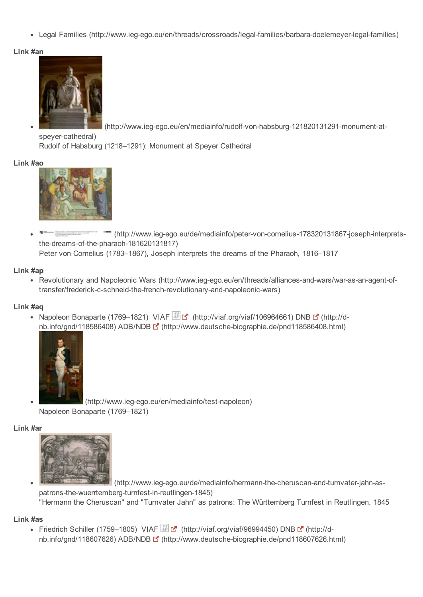<span id="page-9-0"></span>• Legal Families (http://www.ieg-ego.eu/en/threads/crossroads/legal-families/barbara-doelemeyer-legal-families)

### [Link](#page-3-7) #an

<span id="page-9-5"></span>

(http://www.ieg-ego.eu/en/mediainfo/rudolf-von-habsburg-121820131291-monument-at-

speyer-cathedral) Rudolf of Habsburg (1218–1291): Monument at Speyer Cathedral

#### [Link](#page-3-12) #ao



 $\frac{1}{2}$  and the second distances of the second second second second second second second second second second second second second second second second second second second second second second second second second seco <sup>---</sup> (http://www.ieg-ego.eu/de/mediainfo/peter-von-cornelius-178320131867-joseph-interpretsthe-dreams-of-the-pharaoh-181620131817) Peter von Cornelius (1783–1867), Joseph interprets the dreams of the Pharaoh, 1816–1817

#### [Link](#page-3-10) #ap

<span id="page-9-2"></span>• Revolutionary and Napoleonic Wars (http://www.ieg-ego.eu/en/threads/alliances-and-wars/war-as-an-agent-oftransfer/frederick-c-schneid-the-french-revolutionary-and-napoleonic-wars)

#### [Link](#page-3-8) #aq

<span id="page-9-3"></span>• Napoleon Bonaparte (1769–1821) VIAF [\(http://viaf.org/viaf/106964661\)](http://viaf.org/viaf/106964661) DNB [f] (http://d-nb.info/gnd/118586408[\)](http://d-nb.info/gnd/118586408) ADB/NDB Longitude (http://www.deutsche-biographie.de/pnd118586408.html)



(http://www.ieg-ego.eu/en/mediainfo/test-napoleon) Napoleon Bonaparte (1769–1821)

#### [Link](#page-3-11) #ar

<span id="page-9-4"></span>

(http://www.ieg-ego.eu/de/mediainfo/hermann-the-cheruscan-and-turnvater-jahn-aspatrons-the-wuerrtemberg-turnfest-in-reutlingen-1845) "Hermann the Cheruscan" and "Turnvater Jahn" as patrons: The Württemberg Turnfest in Reutlingen, 1845

#### [Link](#page-3-9) #as

<span id="page-9-1"></span>Friedrich Schiller (1759–1805) VIAF [\(http://viaf.org/viaf/96994450\)](http://viaf.org/viaf/96994450) DNB  $\mathbb{F}$  (http://dnb.info/gnd/118607626) ADB/NDB [fttp://www.deutsche-biographie.de/pnd118607626.h[tml\)](http://www.deutsche-biographie.de/pnd118607626.html)